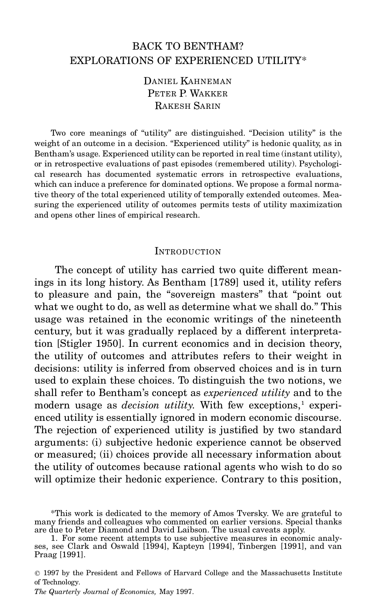# BACK TO BENTHAM? EXPLORATIONS OF EXPERIENCED UTILITY\*

## DANIEL KAHNEMAN PETER P. WAKKER RAKESH SARIN

Two core meanings of "utility" are distinguished. "Decision utility" is the weight of an outcome in a decision. "Experienced utility" is hedonic quality, as in Bentham's usage. Experienced utility can be reported in real time (instant utility), or in retrospective evaluations of past episodes (remembered utility). Psychological research has documented systematic errors in retrospective evaluations, which can induce a preference for dominated options. We propose a formal normative theory of the total experienced utility of temporally extended outcomes. Measuring the experienced utility of outcomes permits tests of utility maximization and opens other lines of empirical research.

#### **INTRODUCTION**

The concept of utility has carried two quite different meanings in its long history. As Bentham [1789] used it, utility refers to pleasure and pain, the "sovereign masters" that "point out what we ought to do, as well as determine what we shall do." This usage was retained in the economic writings of the nineteenth century, but it was gradually replaced by a different interpretation [Stigler 1950]. In current economics and in decision theory, the utility of outcomes and attributes refers to their weight in decisions: utility is inferred from observed choices and is in turn used to explain these choices. To distinguish the two notions, we shall refer to Bentham's concept as *experienced utility* and to the modern usage as *decision utility*. With few exceptions,<sup>1</sup> experienced utility is essentially ignored in modern economic discourse. The rejection of experienced utility is justified by two standard arguments: (i) subjective hedonic experience cannot be observed or measured; (ii) choices provide all necessary information about the utility of outcomes because rational agents who wish to do so will optimize their hedonic experience. Contrary to this position,

 $©$  1997 by the President and Fellows of Harvard College and the Massachusetts Institute of Technology.

*The Quarterly Journal of Economics,* May 1997.

<sup>\*</sup>This work is dedicated to the memory of Amos Tversky. We are grateful to many friends and colleagues who commented on earlier versions. Special thanks are due to Peter Diamond and David Laibson. The usual caveats apply.

<sup>1.</sup> For some recent attempts to use subjective measures in economic analyses, see Clark and Oswald [1994], Kapteyn [1994], Tinbergen [1991], and van Praag [1991].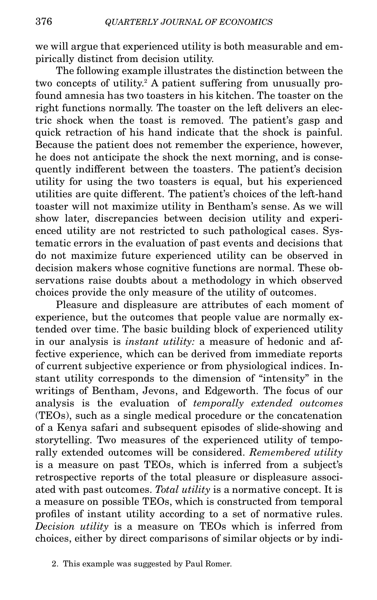we will argue that experienced utility is both measurable and empirically distinct from decision utility.

The following example illustrates the distinction between the two concepts of utility.<sup>2</sup> A patient suffering from unusually profound amnesia has two toasters in his kitchen. The toaster on the right functions normally. The toaster on the left delivers an electric shock when the toast is removed. The patient's gasp and quick retraction of his hand indicate that the shock is painful. Because the patient does not remember the experience, however, he does not anticipate the shock the next morning, and is consequently indifferent between the toasters. The patient's decision utility for using the two toasters is equal, but his experienced utilities are quite different. The patient's choices of the left-hand toaster will not maximize utility in Bentham's sense. As we will show later, discrepancies between decision utility and experienced utility are not restricted to such pathological cases. Systematic errors in the evaluation of past events and decisions that do not maximize future experienced utility can be observed in decision makers whose cognitive functions are normal. These observations raise doubts about a methodology in which observed choices provide the only measure of the utility of outcomes.

Pleasure and displeasure are attributes of each moment of experience, but the outcomes that people value are normally extended over time. The basic building block of experienced utility in our analysis is *instant utility:* a measure of hedonic and affective experience, which can be derived from immediate reports of current subjective experience or from physiological indices. Instant utility corresponds to the dimension of "intensity" in the writings of Bentham, Jevons, and Edgeworth. The focus of our analysis is the evaluation of *temporally extended outcomes* (TEOs), such as a single medical procedure or the concatenation of a Kenya safari and subsequent episodes of slide-showing and storytelling. Two measures of the experienced utility of temporally extended outcomes will be considered. *Remembered utility* is a measure on past TEOs, which is inferred from a subject's retrospective reports of the total pleasure or displeasure associated with past outcomes. *Total utility* is a normative concept. It is a measure on possible TEOs, which is constructed from temporal profiles of instant utility according to a set of normative rules. *Decision utility* is a measure on TEOs which is inferred from choices, either by direct comparisons of similar objects or by indi-

<sup>2.</sup> This example was suggested by Paul Romer.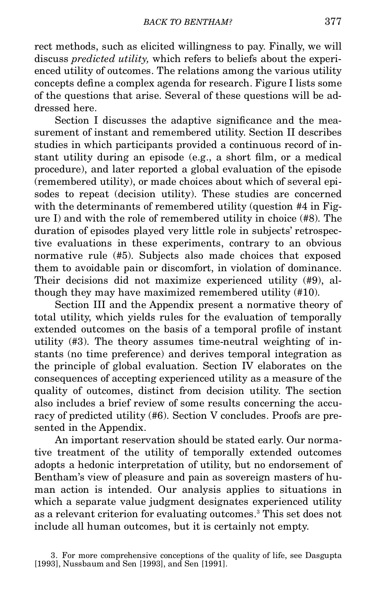rect methods, such as elicited willingness to pay. Finally, we will discuss *predicted utility,* which refers to beliefs about the experienced utility of outcomes. The relations among the various utility concepts define a complex agenda for research. Figure I lists some of the questions that arise. Several of these questions will be addressed here.

Section I discusses the adaptive significance and the measurement of instant and remembered utility. Section II describes studies in which participants provided a continuous record of instant utility during an episode (e.g., a short film, or a medical procedure), and later reported a global evaluation of the episode (remembered utility), or made choices about which of several episodes to repeat (decision utility). These studies are concerned with the determinants of remembered utility (question #4 in Figure I) and with the role of remembered utility in choice (#8). The duration of episodes played very little role in subjects' retrospective evaluations in these experiments, contrary to an obvious normative rule (#5). Subjects also made choices that exposed them to avoidable pain or discomfort, in violation of dominance. Their decisions did not maximize experienced utility (#9), although they may have maximized remembered utility (#10).

Section III and the Appendix present a normative theory of total utility, which yields rules for the evaluation of temporally extended outcomes on the basis of a temporal profile of instant utility (#3). The theory assumes time-neutral weighting of instants (no time preference) and derives temporal integration as the principle of global evaluation. Section IV elaborates on the consequences of accepting experienced utility as a measure of the quality of outcomes, distinct from decision utility. The section also includes a brief review of some results concerning the accuracy of predicted utility (#6). Section V concludes. Proofs are presented in the Appendix.

An important reservation should be stated early. Our normative treatment of the utility of temporally extended outcomes adopts a hedonic interpretation of utility, but no endorsement of Bentham's view of pleasure and pain as sovereign masters of human action is intended. Our analysis applies to situations in which a separate value judgment designates experienced utility as a relevant criterion for evaluating outcomes.<sup>3</sup> This set does not include all human outcomes, but it is certainly not empty.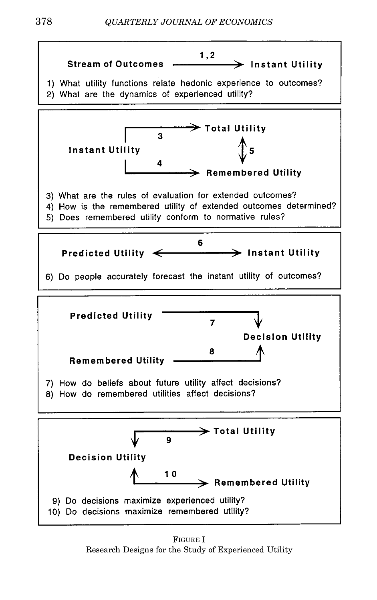

FIGURE I Research Designs for the Study of Experienced Utility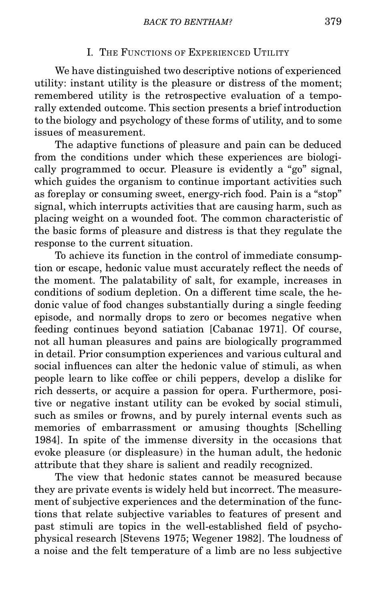## I. THE FUNCTIONS OF EXPERIENCED UTILITY

We have distinguished two descriptive notions of experienced utility: instant utility is the pleasure or distress of the moment; remembered utility is the retrospective evaluation of a temporally extended outcome. This section presents a brief introduction to the biology and psychology of these forms of utility, and to some issues of measurement.

The adaptive functions of pleasure and pain can be deduced from the conditions under which these experiences are biologically programmed to occur. Pleasure is evidently a "go" signal, which guides the organism to continue important activities such as foreplay or consuming sweet, energy-rich food. Pain is a "stop" signal, which interrupts activities that are causing harm, such as placing weight on a wounded foot. The common characteristic of the basic forms of pleasure and distress is that they regulate the response to the current situation.

To achieve its function in the control of immediate consumption or escape, hedonic value must accurately reflect the needs of the moment. The palatability of salt, for example, increases in conditions of sodium depletion. On a different time scale, the hedonic value of food changes substantially during a single feeding episode, and normally drops to zero or becomes negative when feeding continues beyond satiation [Cabanac 1971]. Of course, not all human pleasures and pains are biologically programmed in detail. Prior consumption experiences and various cultural and social influences can alter the hedonic value of stimuli, as when people learn to like coffee or chili peppers, develop a dislike for rich desserts, or acquire a passion for opera. Furthermore, positive or negative instant utility can be evoked by social stimuli, such as smiles or frowns, and by purely internal events such as memories of embarrassment or amusing thoughts [Schelling 1984]. In spite of the immense diversity in the occasions that evoke pleasure (or displeasure) in the human adult, the hedonic attribute that they share is salient and readily recognized.

The view that hedonic states cannot be measured because they are private events is widely held but incorrect. The measurement of subjective experiences and the determination of the functions that relate subjective variables to features of present and past stimuli are topics in the well-established field of psychophysical research [Stevens 1975; Wegener 1982]. The loudness of a noise and the felt temperature of a limb are no less subjective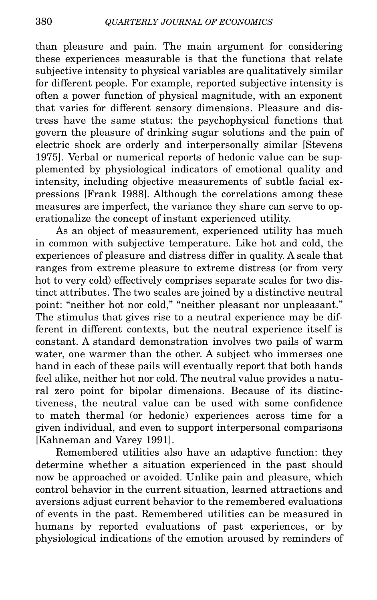than pleasure and pain. The main argument for considering these experiences measurable is that the functions that relate subjective intensity to physical variables are qualitatively similar for different people. For example, reported subjective intensity is often a power function of physical magnitude, with an exponent that varies for different sensory dimensions. Pleasure and distress have the same status: the psychophysical functions that govern the pleasure of drinking sugar solutions and the pain of electric shock are orderly and interpersonally similar [Stevens 1975]. Verbal or numerical reports of hedonic value can be supplemented by physiological indicators of emotional quality and intensity, including objective measurements of subtle facial expressions [Frank 1988]. Although the correlations among these measures are imperfect, the variance they share can serve to operationalize the concept of instant experienced utility.

As an object of measurement, experienced utility has much in common with subjective temperature. Like hot and cold, the experiences of pleasure and distress differ in quality. A scale that ranges from extreme pleasure to extreme distress (or from very hot to very cold) effectively comprises separate scales for two distinct attributes. The two scales are joined by a distinctive neutral point: "neither hot nor cold," "neither pleasant nor unpleasant." The stimulus that gives rise to a neutral experience may be different in different contexts, but the neutral experience itself is constant. A standard demonstration involves two pails of warm water, one warmer than the other. A subject who immerses one hand in each of these pails will eventually report that both hands feel alike, neither hot nor cold. The neutral value provides a natural zero point for bipolar dimensions. Because of its distinctiveness, the neutral value can be used with some confidence to match thermal (or hedonic) experiences across time for a given individual, and even to support interpersonal comparisons [Kahneman and Varey 1991].

Remembered utilities also have an adaptive function: they determine whether a situation experienced in the past should now be approached or avoided. Unlike pain and pleasure, which control behavior in the current situation, learned attractions and aversions adjust current behavior to the remembered evaluations of events in the past. Remembered utilities can be measured in humans by reported evaluations of past experiences, or by physiological indications of the emotion aroused by reminders of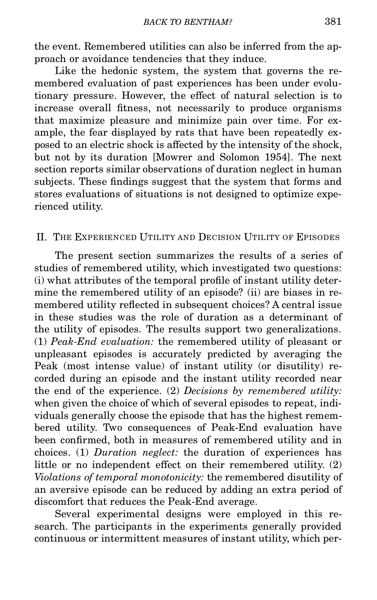the event. Remembered utilities can also be inferred from the approach or avoidance tendencies that they induce.

Like the hedonic system, the system that governs the remembered evaluation of past experiences has been under evolutionary pressure. However, the effect of natural selection is to increase overall fitness, not necessarily to produce organisms that maximize pleasure and minimize pain over time. For example, the fear displayed by rats that have been repeatedly exposed to an electric shock is affected by the intensity of the shock, but not by its duration [Mowrer and Solomon 1954]. The next section reports similar observations of duration neglect in human subjects. These findings suggest that the system that forms and stores evaluations of situations is not designed to optimize experienced utility.

## II. THE EXPERIENCED UTILITY AND DECISION UTILITY OF EPISODES

The present section summarizes the results of a series of studies of remembered utility, which investigated two questions:  $(i)$  what attributes of the temporal profile of instant utility determine the remembered utility of an episode? (ii) are biases in remembered utility reflected in subsequent choices? A central issue in these studies was the role of duration as a determinant of the utility of episodes. The results support two generalizations. (1) *Peak-End evaluation:* the remembered utility of pleasant or unpleasant episodes is accurately predicted by averaging the Peak (most intense value) of instant utility (or disutility) recorded during an episode and the instant utility recorded near the end of the experience. (2) *Decisions by remembered utility:* when given the choice of which of several episodes to repeat, individuals generally choose the episode that has the highest remembered utility. Two consequences of Peak-End evaluation have been confirmed, both in measures of remembered utility and in choices. (1) *Duration neglect:* the duration of experiences has little or no independent effect on their remembered utility. (2) *Violations of temporal monotonicity:* the remembered disutility of an aversive episode can be reduced by adding an extra period of discomfort that reduces the Peak-End average.

Several experimental designs were employed in this research. The participants in the experiments generally provided continuous or intermittent measures of instant utility, which per-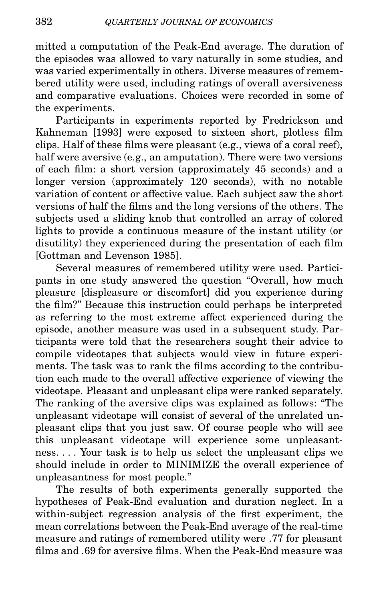mitted a computation of the Peak-End average. The duration of the episodes was allowed to vary naturally in some studies, and was varied experimentally in others. Diverse measures of remembered utility were used, including ratings of overall aversiveness and comparative evaluations. Choices were recorded in some of the experiments.

Participants in experiments reported by Fredrickson and Kahneman [1993] were exposed to sixteen short, plotless film clips. Half of these films were pleasant (e.g., views of a coral reef), half were aversive (e.g., an amputation). There were two versions of each film: a short version (approximately 45 seconds) and a longer version (approximately 120 seconds), with no notable variation of content or affective value. Each subject saw the short versions of half the films and the long versions of the others. The subjects used a sliding knob that controlled an array of colored lights to provide a continuous measure of the instant utility (or disutility) they experienced during the presentation of each film [Gottman and Levenson 1985].

Several measures of remembered utility were used. Participants in one study answered the question "Overall, how much pleasure [displeasure or discomfort] did you experience during the film?" Because this instruction could perhaps be interpreted as referring to the most extreme affect experienced during the episode, another measure was used in a subsequent study. Participants were told that the researchers sought their advice to compile videotapes that subjects would view in future experiments. The task was to rank the films according to the contribution each made to the overall affective experience of viewing the videotape. Pleasant and unpleasant clips were ranked separately. The ranking of the aversive clips was explained as follows: "The unpleasant videotape will consist of several of the unrelated unpleasant clips that you just saw. Of course people who will see this unpleasant videotape will experience some unpleasantness. . . . Your task is to help us select the unpleasant clips we should include in order to MINIMIZE the overall experience of unpleasantness for most people."

The results of both experiments generally supported the hypotheses of Peak-End evaluation and duration neglect. In a within-subject regression analysis of the first experiment, the mean correlations between the Peak-End average of the real-time measure and ratings of remembered utility were .77 for pleasant films and .69 for aversive films. When the Peak-End measure was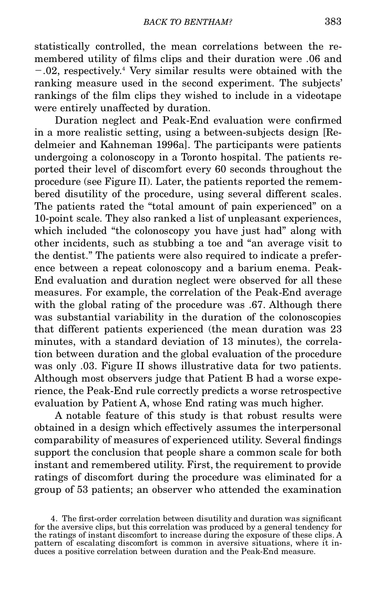statistically controlled, the mean correlations between the remembered utility of films clips and their duration were .06 and  $-0.02$ , respectively.<sup>4</sup> Very similar results were obtained with the ranking measure used in the second experiment. The subjects' rankings of the film clips they wished to include in a videotape were entirely unaffected by duration.

Duration neglect and Peak-End evaluation were confirmed in a more realistic setting, using a between-subjects design [Redelmeier and Kahneman 1996a]. The participants were patients undergoing a colonoscopy in a Toronto hospital. The patients reported their level of discomfort every 60 seconds throughout the procedure (see Figure II). Later, the patients reported the remembered disutility of the procedure, using several different scales. The patients rated the "total amount of pain experienced" on a 10-point scale. They also ranked a list of unpleasant experiences, which included "the colonoscopy you have just had" along with other incidents, such as stubbing a toe and "an average visit to the dentist." The patients were also required to indicate a preference between a repeat colonoscopy and a barium enema. Peak-End evaluation and duration neglect were observed for all these measures. For example, the correlation of the Peak-End average with the global rating of the procedure was .67. Although there was substantial variability in the duration of the colonoscopies that different patients experienced (the mean duration was 23 minutes, with a standard deviation of 13 minutes), the correlation between duration and the global evaluation of the procedure was only .03. Figure II shows illustrative data for two patients. Although most observers judge that Patient B had a worse experience, the Peak-End rule correctly predicts a worse retrospective evaluation by Patient A, whose End rating was much higher.

A notable feature of this study is that robust results were obtained in a design which effectively assumes the interpersonal comparability of measures of experienced utility. Several findings support the conclusion that people share a common scale for both instant and remembered utility. First, the requirement to provide ratings of discomfort during the procedure was eliminated for a group of 53 patients; an observer who attended the examination

<sup>4.</sup> The first-order correlation between disutility and duration was significant for the aversive clips, but this correlation was produced by a general tendency for the ratings of instant discomfort to increase during the exposure of these clips. A pattern of escalating discomfort is common in aversive situations, where it induces a positive correlation between duration and the Peak-End measure.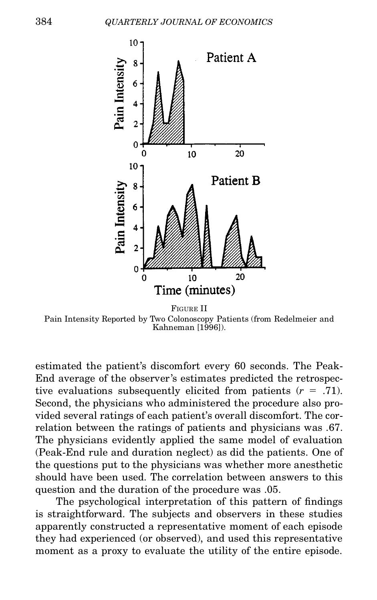

FIGURE II Pain Intensity Reported by Two Colonoscopy Patients (from Redelmeier and Kahneman  $[1\overline{9}\overline{9}6]$ ).

estimated the patient's discomfort every 60 seconds. The Peak-End average of the observer's estimates predicted the retrospective evaluations subsequently elicited from patients  $(r = .71)$ . Second, the physicians who administered the procedure also provided several ratings of each patient's overall discomfort. The correlation between the ratings of patients and physicians was .67. The physicians evidently applied the same model of evaluation (Peak-End rule and duration neglect) as did the patients. One of the questions put to the physicians was whether more anesthetic should have been used. The correlation between answers to this question and the duration of the procedure was .05.

The psychological interpretation of this pattern of findings is straightforward. The subjects and observers in these studies apparently constructed a representative moment of each episode they had experienced (or observed), and used this representative moment as a proxy to evaluate the utility of the entire episode.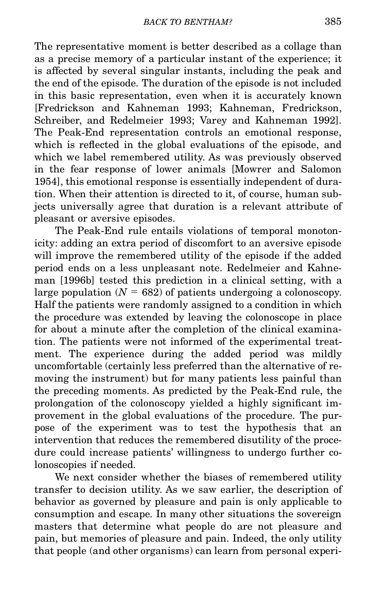The representative moment is better described as a collage than as a precise memory of a particular instant of the experience; it is affected by several singular instants, including the peak and the end of the episode. The duration of the episode is not included in this basic representation, even when it is accurately known [Fredrickson and Kahneman 1993; Kahneman, Fredrickson, Schreiber, and Redelmeier 1993; Varey and Kahneman 1992]. The Peak-End representation controls an emotional response, which is reflected in the global evaluations of the episode, and which we label remembered utility. As was previously observed in the fear response of lower animals [Mowrer and Salomon 1954], this emotional response is essentially independent of duration. When their attention is directed to it, of course, human subjects universally agree that duration is a relevant attribute of pleasant or aversive episodes.

The Peak-End rule entails violations of temporal monotonicity: adding an extra period of discomfort to an aversive episode will improve the remembered utility of the episode if the added period ends on a less unpleasant note. Redelmeier and Kahneman [1996b] tested this prediction in a clinical setting, with a large population  $(N = 682)$  of patients undergoing a colonoscopy. Half the patients were randomly assigned to a condition in which the procedure was extended by leaving the colonoscope in place for about a minute after the completion of the clinical examination. The patients were not informed of the experimental treatment. The experience during the added period was mildly uncomfortable (certainly less preferred than the alternative of removing the instrument) but for many patients less painful than the preceding moments. As predicted by the Peak-End rule, the prolongation of the colonoscopy yielded a highly significant improvement in the global evaluations of the procedure. The purpose of the experiment was to test the hypothesis that an intervention that reduces the remembered disutility of the procedure could increase patients' willingness to undergo further colonoscopies if needed.

We next consider whether the biases of remembered utility transfer to decision utility. As we saw earlier, the description of behavior as governed by pleasure and pain is only applicable to consumption and escape. In many other situations the sovereign masters that determine what people do are not pleasure and pain, but memories of pleasure and pain. Indeed, the only utility that people (and other organisms) can learn from personal experi-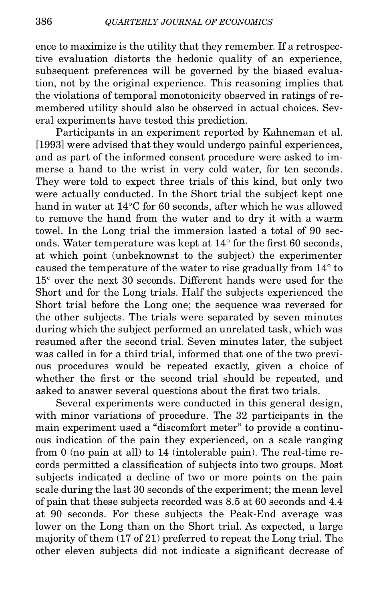ence to maximize is the utility that they remember. If a retrospective evaluation distorts the hedonic quality of an experience, subsequent preferences will be governed by the biased evaluation, not by the original experience. This reasoning implies that the violations of temporal monotonicity observed in ratings of remembered utility should also be observed in actual choices. Several experiments have tested this prediction.

Participants in an experiment reported by Kahneman et al. [1993] were advised that they would undergo painful experiences, and as part of the informed consent procedure were asked to immerse a hand to the wrist in very cold water, for ten seconds. They were told to expect three trials of this kind, but only two were actually conducted. In the Short trial the subject kept one hand in water at 14°C for 60 seconds, after which he was allowed to remove the hand from the water and to dry it with a warm towel. In the Long trial the immersion lasted a total of 90 seconds. Water temperature was kept at  $14^{\circ}$  for the first 60 seconds, at which point (unbeknownst to the subject) the experimenter caused the temperature of the water to rise gradually from 14° to 15° over the next 30 seconds. Different hands were used for the Short and for the Long trials. Half the subjects experienced the Short trial before the Long one; the sequence was reversed for the other subjects. The trials were separated by seven minutes during which the subject performed an unrelated task, which was resumed after the second trial. Seven minutes later, the subject was called in for a third trial, informed that one of the two previous procedures would be repeated exactly, given a choice of whether the first or the second trial should be repeated, and asked to answer several questions about the first two trials.

Several experiments were conducted in this general design, with minor variations of procedure. The 32 participants in the main experiment used a "discomfort meter" to provide a continuous indication of the pain they experienced, on a scale ranging from 0 (no pain at all) to 14 (intolerable pain). The real-time records permitted a classification of subjects into two groups. Most subjects indicated a decline of two or more points on the pain scale during the last 30 seconds of the experiment; the mean level of pain that these subjects recorded was 8.5 at 60 seconds and 4.4 at 90 seconds. For these subjects the Peak-End average was lower on the Long than on the Short trial. As expected, a large majority of them (17 of 21) preferred to repeat the Long trial. The other eleven subjects did not indicate a signicant decrease of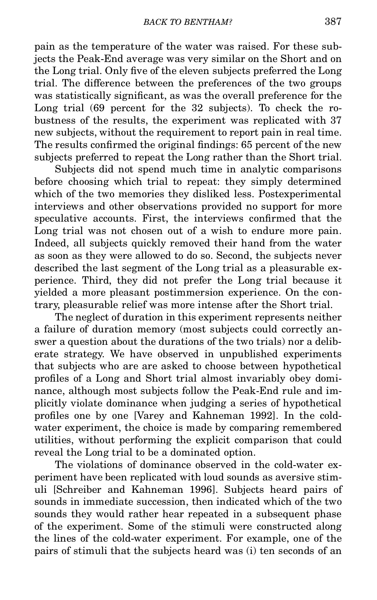pain as the temperature of the water was raised. For these subjects the Peak-End average was very similar on the Short and on the Long trial. Only five of the eleven subjects preferred the Long trial. The difference between the preferences of the two groups was statistically significant, as was the overall preference for the Long trial (69 percent for the 32 subjects). To check the robustness of the results, the experiment was replicated with 37 new subjects, without the requirement to report pain in real time. The results confirmed the original findings: 65 percent of the new subjects preferred to repeat the Long rather than the Short trial.

Subjects did not spend much time in analytic comparisons before choosing which trial to repeat: they simply determined which of the two memories they disliked less. Postexperimental interviews and other observations provided no support for more speculative accounts. First, the interviews confirmed that the Long trial was not chosen out of a wish to endure more pain. Indeed, all subjects quickly removed their hand from the water as soon as they were allowed to do so. Second, the subjects never described the last segment of the Long trial as a pleasurable experience. Third, they did not prefer the Long trial because it yielded a more pleasant postimmersion experience. On the contrary, pleasurable relief was more intense after the Short trial.

The neglect of duration in this experiment represents neither a failure of duration memory (most subjects could correctly answer a question about the durations of the two trials) nor a deliberate strategy. We have observed in unpublished experiments that subjects who are are asked to choose between hypothetical profiles of a Long and Short trial almost invariably obey dominance, although most subjects follow the Peak-End rule and implicitly violate dominance when judging a series of hypothetical profiles one by one [Varey and Kahneman 1992]. In the coldwater experiment, the choice is made by comparing remembered utilities, without performing the explicit comparison that could reveal the Long trial to be a dominated option.

The violations of dominance observed in the cold-water experiment have been replicated with loud sounds as aversive stimuli [Schreiber and Kahneman 1996]. Subjects heard pairs of sounds in immediate succession, then indicated which of the two sounds they would rather hear repeated in a subsequent phase of the experiment. Some of the stimuli were constructed along the lines of the cold-water experiment. For example, one of the pairs of stimuli that the subjects heard was (i) ten seconds of an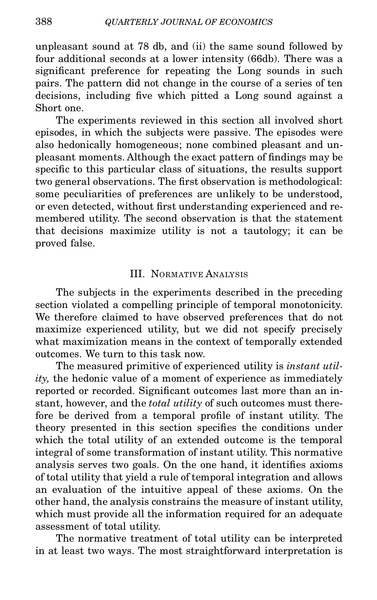unpleasant sound at 78 db, and (ii) the same sound followed by four additional seconds at a lower intensity (66db). There was a significant preference for repeating the Long sounds in such pairs. The pattern did not change in the course of a series of ten decisions, including five which pitted a Long sound against a Short one.

The experiments reviewed in this section all involved short episodes, in which the subjects were passive. The episodes were also hedonically homogeneous; none combined pleasant and unpleasant moments. Although the exact pattern of findings may be specific to this particular class of situations, the results support two general observations. The first observation is methodological: some peculiarities of preferences are unlikely to be understood, or even detected, without first understanding experienced and remembered utility. The second observation is that the statement that decisions maximize utility is not a tautology; it can be proved false.

## III. NORMATIVE ANALYSIS

The subjects in the experiments described in the preceding section violated a compelling principle of temporal monotonicity. We therefore claimed to have observed preferences that do not maximize experienced utility, but we did not specify precisely what maximization means in the context of temporally extended outcomes. We turn to this task now.

The measured primitive of experienced utility is *instant utility,* the hedonic value of a moment of experience as immediately reported or recorded. Significant outcomes last more than an instant, however, and the *total utility* of such outcomes must therefore be derived from a temporal profile of instant utility. The theory presented in this section specifies the conditions under which the total utility of an extended outcome is the temporal integral of some transformation of instant utility. This normative analysis serves two goals. On the one hand, it identifies axioms of total utility that yield a rule of temporal integration and allows an evaluation of the intuitive appeal of these axioms. On the other hand, the analysis constrains the measure of instant utility, which must provide all the information required for an adequate assessment of total utility.

The normative treatment of total utility can be interpreted in at least two ways. The most straightforward interpretation is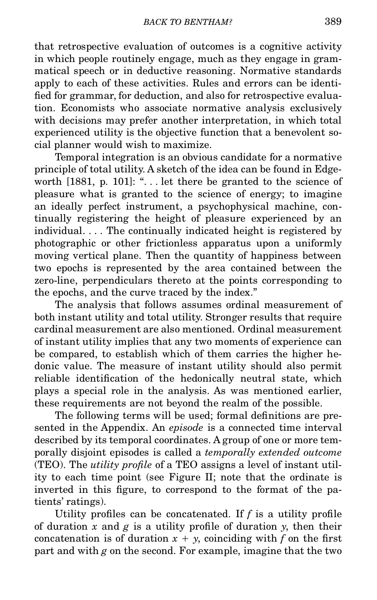that retrospective evaluation of outcomes is a cognitive activity in which people routinely engage, much as they engage in grammatical speech or in deductive reasoning. Normative standards apply to each of these activities. Rules and errors can be identi fied for grammar, for deduction, and also for retrospective evaluation. Economists who associate normative analysis exclusively with decisions may prefer another interpretation, in which total experienced utility is the objective function that a benevolent social planner would wish to maximize.

Temporal integration is an obvious candidate for a normative principle of total utility. A sketch of the idea can be found in Edgeworth [1881, p. 101]: ". . . let there be granted to the science of pleasure what is granted to the science of energy; to imagine an ideally perfect instrument, a psychophysical machine, continually registering the height of pleasure experienced by an individual. . . . The continually indicated height is registered by photographic or other frictionless apparatus upon a uniformly moving vertical plane. Then the quantity of happiness between two epochs is represented by the area contained between the zero-line, perpendiculars thereto at the points corresponding to the epochs, and the curve traced by the index."

The analysis that follows assumes ordinal measurement of both instant utility and total utility. Stronger results that require cardinal measurement are also mentioned. Ordinal measurement of instant utility implies that any two moments of experience can be compared, to establish which of them carries the higher hedonic value. The measure of instant utility should also permit reliable identification of the hedonically neutral state, which plays a special role in the analysis. As was mentioned earlier, these requirements are not beyond the realm of the possible.

The following terms will be used; formal definitions are presented in the Appendix. An *episode* is a connected time interval described by its temporal coordinates. A group of one or more temporally disjoint episodes is called a *temporally extended outcome* (TEO). The *utility profile* of a TEO assigns a level of instant utility to each time point (see Figure II; note that the ordinate is inverted in this figure, to correspond to the format of the patients' ratings).

Utility profiles can be concatenated. If  $f$  is a utility profile of duration  $x$  and  $g$  is a utility profile of duration  $y$ , then their concatenation is of duration  $x + y$ , coinciding with f on the first part and with *g* on the second. For example, imagine that the two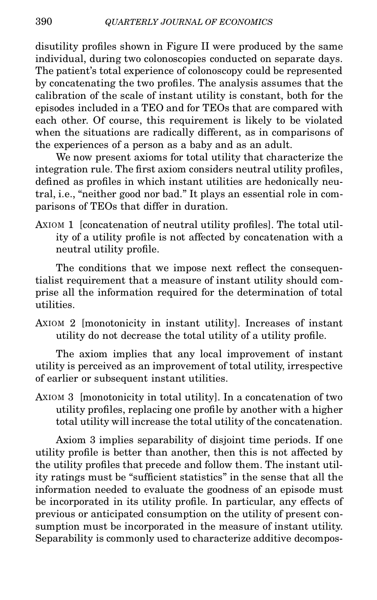disutility profiles shown in Figure II were produced by the same individual, during two colonoscopies conducted on separate days. The patient's total experience of colonoscopy could be represented by concatenating the two profiles. The analysis assumes that the calibration of the scale of instant utility is constant, both for the episodes included in a TEO and for TEOs that are compared with each other. Of course, this requirement is likely to be violated when the situations are radically different, as in comparisons of the experiences of a person as a baby and as an adult.

We now present axioms for total utility that characterize the integration rule. The first axiom considers neutral utility profiles, defined as profiles in which instant utilities are hedonically neutral, i.e., "neither good nor bad." It plays an essential role in comparisons of TEOs that differ in duration.

AXIOM 1 [concatenation of neutral utility profiles]. The total utility of a utility profile is not affected by concatenation with a neutral utility profile.

The conditions that we impose next reflect the consequentialist requirement that a measure of instant utility should comprise all the information required for the determination of total utilities.

AXIOM 2 [monotonicity in instant utility]. Increases of instant utility do not decrease the total utility of a utility profile.

The axiom implies that any local improvement of instant utility is perceived as an improvement of total utility, irrespective of earlier or subsequent instant utilities.

AXIOM 3 [monotonicity in total utility]. In a concatenation of two utility profiles, replacing one profile by another with a higher total utility will increase the total utility of the concatenation.

Axiom 3 implies separability of disjoint time periods. If one utility profile is better than another, then this is not affected by the utility profiles that precede and follow them. The instant utility ratings must be "sufficient statistics" in the sense that all the information needed to evaluate the goodness of an episode must be incorporated in its utility profile. In particular, any effects of previous or anticipated consumption on the utility of present consumption must be incorporated in the measure of instant utility. Separability is commonly used to characterize additive decompos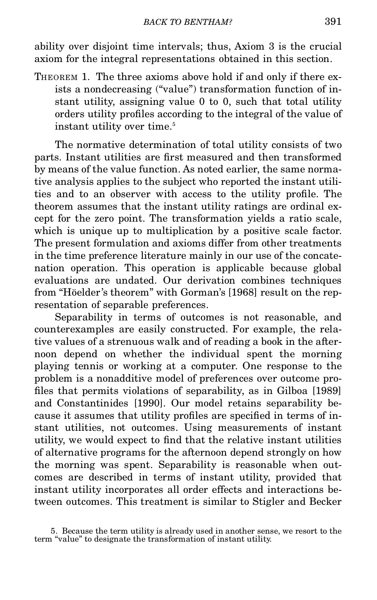ability over disjoint time intervals; thus, Axiom 3 is the crucial axiom for the integral representations obtained in this section.

THEOREM 1. The three axioms above hold if and only if there exists a nondecreasing ("value") transformation function of instant utility, assigning value 0 to 0, such that total utility orders utility profiles according to the integral of the value of instant utility over time.<sup>5</sup>

The normative determination of total utility consists of two parts. Instant utilities are first measured and then transformed by means of the value function. As noted earlier, the same normative analysis applies to the subject who reported the instant utilities and to an observer with access to the utility profile. The theorem assumes that the instant utility ratings are ordinal except for the zero point. The transformation yields a ratio scale, which is unique up to multiplication by a positive scale factor. The present formulation and axioms differ from other treatments in the time preference literature mainly in our use of the concatenation operation. This operation is applicable because global evaluations are undated. Our derivation combines techniques from "Höelder's theorem" with Gorman's [1968] result on the representation of separable preferences.

Separability in terms of outcomes is not reasonable, and counterexamples are easily constructed. For example, the relative values of a strenuous walk and of reading a book in the afternoon depend on whether the individual spent the morning playing tennis or working at a computer. One response to the problem is a nonadditive model of preferences over outcome pro files that permits violations of separability, as in Gilboa [1989] and Constantinides [1990]. Our model retains separability because it assumes that utility profiles are specified in terms of instant utilities, not outcomes. Using measurements of instant utility, we would expect to find that the relative instant utilities of alternative programs for the afternoon depend strongly on how the morning was spent. Separability is reasonable when outcomes are described in terms of instant utility, provided that instant utility incorporates all order effects and interactions between outcomes. This treatment is similar to Stigler and Becker

<sup>5.</sup> Because the term utility is already used in another sense, we resort to the term "value" to designate the transformation of instant utility.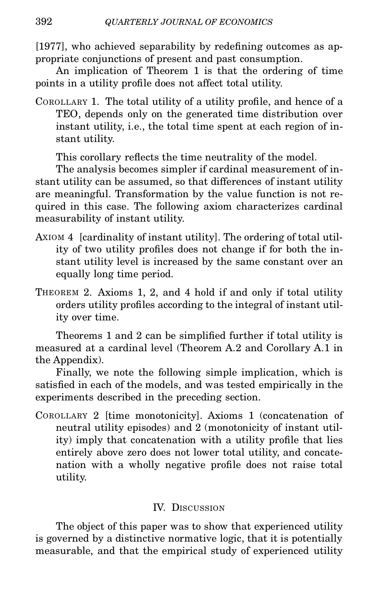[1977], who achieved separability by redefining outcomes as appropriate conjunctions of present and past consumption.

An implication of Theorem 1 is that the ordering of time points in a utility profile does not affect total utility.

 $COROLLARY 1$ . The total utility of a utility profile, and hence of a TEO, depends only on the generated time distribution over instant utility, i.e., the total time spent at each region of instant utility.

This corollary reflects the time neutrality of the model.

The analysis becomes simpler if cardinal measurement of instant utility can be assumed, so that differences of instant utility are meaningful. Transformation by the value function is not required in this case. The following axiom characterizes cardinal measurability of instant utility.

- AXIOM 4 [cardinality of instant utility]. The ordering of total utility of two utility profiles does not change if for both the instant utility level is increased by the same constant over an equally long time period.
- THEOREM 2. Axioms 1, 2, and 4 hold if and only if total utility orders utility profiles according to the integral of instant utility over time.

Theorems 1 and 2 can be simplified further if total utility is measured at a cardinal level (Theorem A.2 and Corollary A.1 in the Appendix).

Finally, we note the following simple implication, which is satisfied in each of the models, and was tested empirically in the experiments described in the preceding section.

COROLLARY 2 [time monotonicity]. Axioms 1 (concatenation of neutral utility episodes) and 2 (monotonicity of instant utility) imply that concatenation with a utility profile that lies entirely above zero does not lower total utility, and concatenation with a wholly negative profile does not raise total utility.

# IV. DISCUSSION

The object of this paper was to show that experienced utility is governed by a distinctive normative logic, that it is potentially measurable, and that the empirical study of experienced utility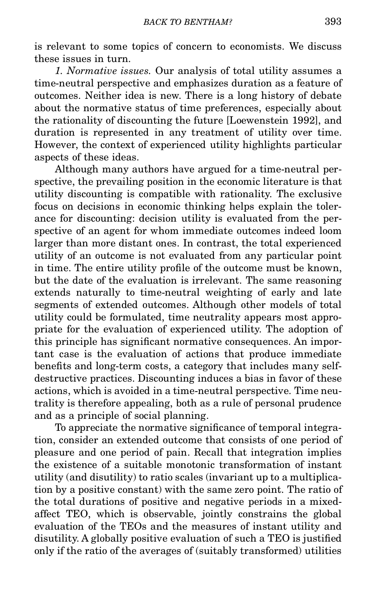is relevant to some topics of concern to economists. We discuss these issues in turn.

*1. Normative issues.* Our analysis of total utility assumes a time-neutral perspective and emphasizes duration as a feature of outcomes. Neither idea is new. There is a long history of debate about the normative status of time preferences, especially about the rationality of discounting the future [Loewenstein 1992], and duration is represented in any treatment of utility over time. However, the context of experienced utility highlights particular aspects of these ideas.

Although many authors have argued for a time-neutral perspective, the prevailing position in the economic literature is that utility discounting is compatible with rationality. The exclusive focus on decisions in economic thinking helps explain the tolerance for discounting: decision utility is evaluated from the perspective of an agent for whom immediate outcomes indeed loom larger than more distant ones. In contrast, the total experienced utility of an outcome is not evaluated from any particular point in time. The entire utility profile of the outcome must be known, but the date of the evaluation is irrelevant. The same reasoning extends naturally to time-neutral weighting of early and late segments of extended outcomes. Although other models of total utility could be formulated, time neutrality appears most appropriate for the evaluation of experienced utility. The adoption of this principle has significant normative consequences. An important case is the evaluation of actions that produce immediate benefits and long-term costs, a category that includes many selfdestructive practices. Discounting induces a bias in favor of these actions, which is avoided in a time-neutral perspective. Time neutrality is therefore appealing, both as a rule of personal prudence and as a principle of social planning.

To appreciate the normative significance of temporal integration, consider an extended outcome that consists of one period of pleasure and one period of pain. Recall that integration implies the existence of a suitable monotonic transformation of instant utility (and disutility) to ratio scales (invariant up to a multiplication by a positive constant) with the same zero point. The ratio of the total durations of positive and negative periods in a mixedaffect TEO, which is observable, jointly constrains the global evaluation of the TEOs and the measures of instant utility and disutility. A globally positive evaluation of such a TEO is justified only if the ratio of the averages of (suitably transformed) utilities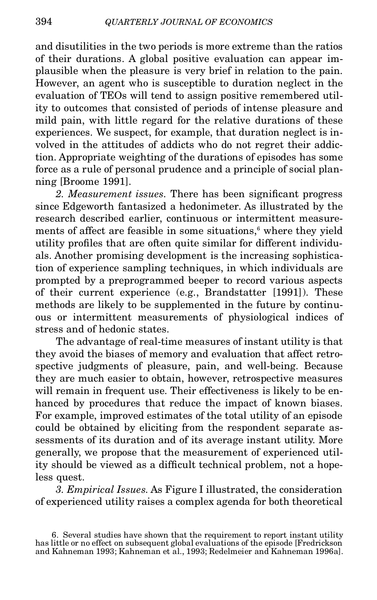and disutilities in the two periods is more extreme than the ratios of their durations. A global positive evaluation can appear implausible when the pleasure is very brief in relation to the pain. However, an agent who is susceptible to duration neglect in the evaluation of TEOs will tend to assign positive remembered utility to outcomes that consisted of periods of intense pleasure and mild pain, with little regard for the relative durations of these experiences. We suspect, for example, that duration neglect is involved in the attitudes of addicts who do not regret their addiction. Appropriate weighting of the durations of episodes has some force as a rule of personal prudence and a principle of social planning [Broome 1991].

*2. Measurement issues.* There has been signicant progress since Edgeworth fantasized a hedonimeter. As illustrated by the research described earlier, continuous or intermittent measurements of affect are feasible in some situations, $6$  where they yield utility profiles that are often quite similar for different individuals. Another promising development is the increasing sophistication of experience sampling techniques, in which individuals are prompted by a preprogrammed beeper to record various aspects of their current experience (e.g., Brandstatter [1991]). These methods are likely to be supplemented in the future by continuous or intermittent measurements of physiological indices of stress and of hedonic states.

The advantage of real-time measures of instant utility is that they avoid the biases of memory and evaluation that affect retrospective judgments of pleasure, pain, and well-being. Because they are much easier to obtain, however, retrospective measures will remain in frequent use. Their effectiveness is likely to be enhanced by procedures that reduce the impact of known biases. For example, improved estimates of the total utility of an episode could be obtained by eliciting from the respondent separate assessments of its duration and of its average instant utility. More generally, we propose that the measurement of experienced utility should be viewed as a difficult technical problem, not a hopeless quest.

*3. Empirical Issues.* As Figure I illustrated, the consideration of experienced utility raises a complex agenda for both theoretical

<sup>6.</sup> Several studies have shown that the requirement to report instant utility has little or no effect on subsequent global evaluations of the episode [Fredrickson] and Kahneman 1993; Kahneman et al., 1993; Redelmeier and Kahneman 1996a].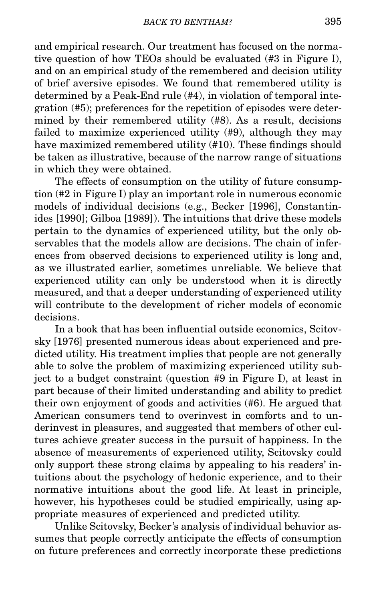and empirical research. Our treatment has focused on the normative question of how TEOs should be evaluated (#3 in Figure I), and on an empirical study of the remembered and decision utility of brief aversive episodes. We found that remembered utility is determined by a Peak-End rule (#4), in violation of temporal integration (#5); preferences for the repetition of episodes were determined by their remembered utility (#8). As a result, decisions failed to maximize experienced utility (#9), although they may have maximized remembered utility  $(410)$ . These findings should be taken as illustrative, because of the narrow range of situations in which they were obtained.

The effects of consumption on the utility of future consumption (#2 in Figure I) play an important role in numerous economic models of individual decisions (e.g., Becker [1996], Constantinides [1990]; Gilboa [1989]). The intuitions that drive these models pertain to the dynamics of experienced utility, but the only observables that the models allow are decisions. The chain of inferences from observed decisions to experienced utility is long and, as we illustrated earlier, sometimes unreliable. We believe that experienced utility can only be understood when it is directly measured, and that a deeper understanding of experienced utility will contribute to the development of richer models of economic decisions.

In a book that has been influential outside economics, Scitovsky [1976] presented numerous ideas about experienced and predicted utility. His treatment implies that people are not generally able to solve the problem of maximizing experienced utility subject to a budget constraint (question #9 in Figure I), at least in part because of their limited understanding and ability to predict their own enjoyment of goods and activities (#6). He argued that American consumers tend to overinvest in comforts and to underinvest in pleasures, and suggested that members of other cultures achieve greater success in the pursuit of happiness. In the absence of measurements of experienced utility, Scitovsky could only support these strong claims by appealing to his readers' intuitions about the psychology of hedonic experience, and to their normative intuitions about the good life. At least in principle, however, his hypotheses could be studied empirically, using appropriate measures of experienced and predicted utility.

Unlike Scitovsky, Becker's analysis of individual behavior assumes that people correctly anticipate the effects of consumption on future preferences and correctly incorporate these predictions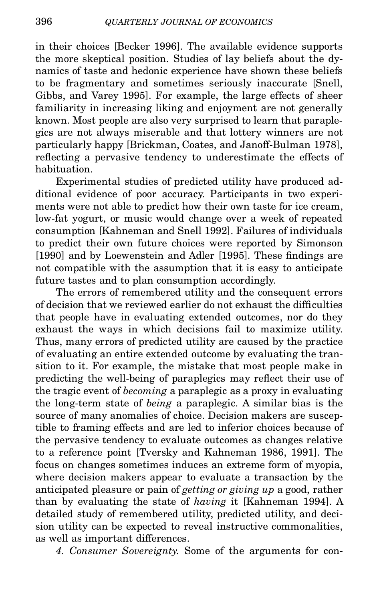in their choices [Becker 1996]. The available evidence supports the more skeptical position. Studies of lay beliefs about the dynamics of taste and hedonic experience have shown these beliefs to be fragmentary and sometimes seriously inaccurate [Snell, Gibbs, and Varey 1995]. For example, the large effects of sheer familiarity in increasing liking and enjoyment are not generally known. Most people are also very surprised to learn that paraplegics are not always miserable and that lottery winners are not particularly happy [Brickman, Coates, and Janoff-Bulman 1978], reflecting a pervasive tendency to underestimate the effects of habituation.

Experimental studies of predicted utility have produced additional evidence of poor accuracy. Participants in two experiments were not able to predict how their own taste for ice cream, low-fat yogurt, or music would change over a week of repeated consumption [Kahneman and Snell 1992]. Failures of individuals to predict their own future choices were reported by Simonson [1990] and by Loewenstein and Adler [1995]. These findings are not compatible with the assumption that it is easy to anticipate future tastes and to plan consumption accordingly.

The errors of remembered utility and the consequent errors of decision that we reviewed earlier do not exhaust the difculties that people have in evaluating extended outcomes, nor do they exhaust the ways in which decisions fail to maximize utility. Thus, many errors of predicted utility are caused by the practice of evaluating an entire extended outcome by evaluating the transition to it. For example, the mistake that most people make in predicting the well-being of paraplegics may reflect their use of the tragic event of *becoming* a paraplegic as a proxy in evaluating the long-term state of *being* a paraplegic. A similar bias is the source of many anomalies of choice. Decision makers are susceptible to framing effects and are led to inferior choices because of the pervasive tendency to evaluate outcomes as changes relative to a reference point [Tversky and Kahneman 1986, 1991]. The focus on changes sometimes induces an extreme form of myopia, where decision makers appear to evaluate a transaction by the anticipated pleasure or pain of *getting or giving up* a good, rather than by evaluating the state of *having* it [Kahneman 1994]. A detailed study of remembered utility, predicted utility, and decision utility can be expected to reveal instructive commonalities, as well as important differences.

*4. Consumer Sovereignty.* Some of the arguments for con-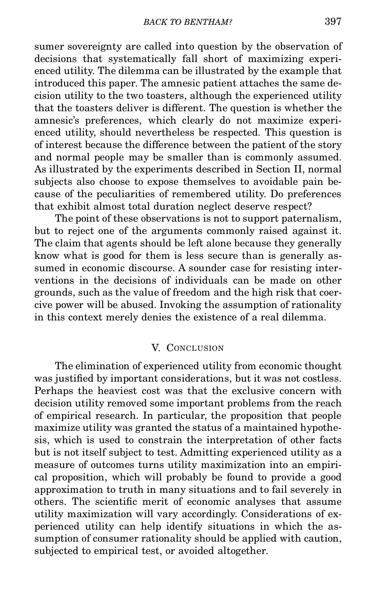sumer sovereignty are called into question by the observation of decisions that systematically fall short of maximizing experienced utility. The dilemma can be illustrated by the example that introduced this paper. The amnesic patient attaches the same decision utility to the two toasters, although the experienced utility that the toasters deliver is different. The question is whether the amnesic's preferences, which clearly do not maximize experienced utility, should nevertheless be respected. This question is of interest because the difference between the patient of the story and normal people may be smaller than is commonly assumed. As illustrated by the experiments described in Section II, normal subjects also choose to expose themselves to avoidable pain because of the peculiarities of remembered utility. Do preferences that exhibit almost total duration neglect deserve respect?

The point of these observations is not to support paternalism, but to reject one of the arguments commonly raised against it. The claim that agents should be left alone because they generally know what is good for them is less secure than is generally assumed in economic discourse. A sounder case for resisting interventions in the decisions of individuals can be made on other grounds, such as the value of freedom and the high risk that coercive power will be abused. Invoking the assumption of rationality in this context merely denies the existence of a real dilemma.

#### V. CONCLUSION

The elimination of experienced utility from economic thought was justified by important considerations, but it was not costless. Perhaps the heaviest cost was that the exclusive concern with decision utility removed some important problems from the reach of empirical research. In particular, the proposition that people maximize utility was granted the status of a maintained hypothesis, which is used to constrain the interpretation of other facts but is not itself subject to test. Admitting experienced utility as a measure of outcomes turns utility maximization into an empirical proposition, which will probably be found to provide a good approximation to truth in many situations and to fail severely in others. The scientific merit of economic analyses that assume utility maximization will vary accordingly. Considerations of experienced utility can help identify situations in which the assumption of consumer rationality should be applied with caution, subjected to empirical test, or avoided altogether.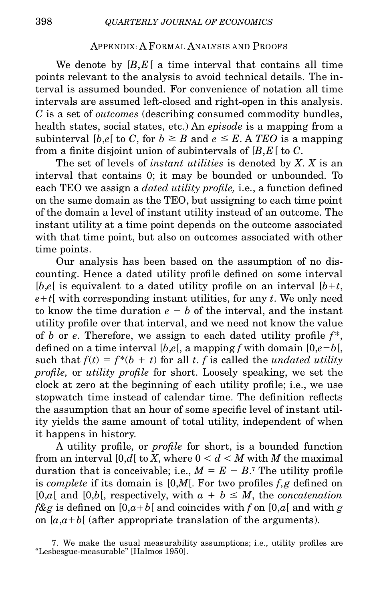### APPENDIX: A FORMAL ANALYSIS AND PROOFS

We denote by  $[B, E]$  a time interval that contains all time points relevant to the analysis to avoid technical details. The interval is assumed bounded. For convenience of notation all time intervals are assumed left-closed and right-open in this analysis. *C* is a set of *outcomes* (describing consumed commodity bundles, health states, social states, etc.) An *episode* is a mapping from a subinterval [*b*,*e*] to *C*, for  $b \geq B$  and  $e \leq E$ . A *TEO* is a mapping from a finite disjoint union of subintervals of  $[B, E]$  to  $C$ .

The set of levels of *instant utilities* is denoted by *X*. *X* is an interval that contains 0; it may be bounded or unbounded. To each TEO we assign a *dated utility profile*, i.e., a function defined on the same domain as the TEO, but assigning to each time point of the domain a level of instant utility instead of an outcome. The instant utility at a time point depends on the outcome associated with that time point, but also on outcomes associated with other time points.

Our analysis has been based on the assumption of no discounting. Hence a dated utility profile defined on some interval  $[b,e]$  is equivalent to a dated utility profile on an interval  $[b+t,$  $e+t$  with corresponding instant utilities, for any *t*. We only need to know the time duration  $e - b$  of the interval, and the instant utility profile over that interval, and we need not know the value of *b* or *e*. Therefore, we assign to each dated utility profile  $f^*$ , defined on a time interval  $[b,e]$ , a mapping f with domain  $[0,e-b]$ , such that  $f(t) = f^*(b + t)$  for all *t*. *f* is called the *undated utility profile,* or *utility profile* for short. Loosely speaking, we set the clock at zero at the beginning of each utility profile; i.e., we use stopwatch time instead of calendar time. The definition reflects the assumption that an hour of some specific level of instant utility yields the same amount of total utility, independent of when it happens in history.

A utility profile, or *profile* for short, is a bounded function from an interval  $[0,d]$  to *X*, where  $0 < d < M$  with *M* the maximal duration that is conceivable; i.e.,  $M = E - B$ .<sup>7</sup> The utility profile is *complete* if its domain is  $[0,M]$ . For two profiles  $f, g$  defined on  $[0,a]$  and  $[0,b]$ , respectively, with  $a + b \leq M$ , the *concatenation f*&g is defined on  $[0, a+b]$  and coincides with *f* on  $[0, a]$  and with g on  $[a, a + b]$  (after appropriate translation of the arguments).

<sup>7.</sup> We make the usual measurability assumptions; i.e., utility profiles are "Lesbesgue-measurable" [Halmos 1950].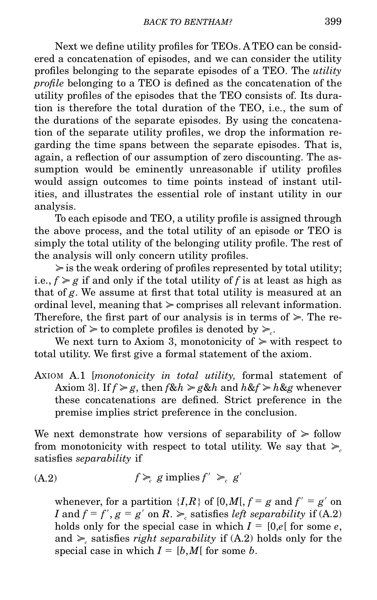Next we define utility profiles for TEOs. A TEO can be considered a concatenation of episodes, and we can consider the utility profiles belonging to the separate episodes of a TEO. The *utility profile* belonging to a TEO is defined as the concatenation of the utility profiles of the episodes that the TEO consists of. Its duration is therefore the total duration of the TEO, i.e., the sum of the durations of the separate episodes. By using the concatenation of the separate utility profiles, we drop the information regarding the time spans between the separate episodes. That is, again, a reflection of our assumption of zero discounting. The assumption would be eminently unreasonable if utility profiles would assign outcomes to time points instead of instant utilities, and illustrates the essential role of instant utility in our analysis.

To each episode and TEO, a utility profile is assigned through the above process, and the total utility of an episode or TEO is simply the total utility of the belonging utility profile. The rest of the analysis will only concern utility profiles.

 $\geq$  is the weak ordering of profiles represented by total utility; i.e.,  $f \ge g$  if and only if the total utility of f is at least as high as that of  $g$ . We assume at first that total utility is measured at an ordinal level, meaning that  $\geq$  comprises all relevant information. Therefore, the first part of our analysis is in terms of  $\geq$ . The restriction of  $\geq$  to complete profiles is denoted by  $\geq$ .

We next turn to Axiom 3, monotonicity of  $\geq$  with respect to total utility. We first give a formal statement of the axiom.

AXIOM A.1 [*monotonicity in total utility,* formal statement of Axiom 3]. If  $f \ge g$ , then  $f \& h \ge g \& h$  and  $h \& f \ge h \& g$  whenever these concatenations are defined. Strict preference in the premise implies strict preference in the conclusion.

We next demonstrate how versions of separability of  $\geq$  follow from monotonicity with respect to total utility. We say that  $\geq$ satisfies *separability* if

$$
(A.2) \t f \geqslant_{c} g \text{ implies } f' \geqslant_{c} g'
$$

whenever, for a partition  ${I, R}$  of  $[0, M]$ ,  $f = g$  and  $f' = g'$  on *I* and  $f = f'$ ,  $g = g'$  on  $R \geq g$  satisfies *left separability* if (A.2) holds only for the special case in which  $I = [0,e]$  for some *e*, and  $\geq$  satisfies *right separability* if (A.2) holds only for the special case in which  $I = [b, M]$  for some *b*.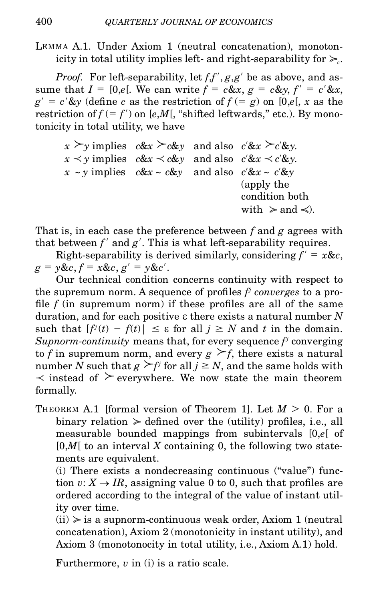LEMMA A.1. Under Axiom 1 (neutral concatenation), monotonicity in total utility implies left- and right-separability for  $\geq$ .

*Proof.* For left-separability, let  $f_i f'$ ,  $g_i g'$  be as above, and assume that  $I = [0,e]$ . We can write  $f = c \& x, g = c \& y, f' = c' \& x,$  $g' = c' \& y$  (define *c* as the restriction of  $f (= g)$  on [0,*e*], *x* as the restriction of  $f = f'$  on [*e*,*M*], "shifted leftwards," etc.). By monotonicity in total utility, we have

$$
x \gt y
$$
 implies  $c\&x \gt c\&y$  and also  $c'\&x \gt c'\&y$ .  $x \prec y$  implies  $c\&x \prec c\&y$  and also  $c'\&x \prec c'\&y$ .  $x \sim y$  implies  $c\&x \sim c\&y$  and also  $c'\&x \sim c'\&y$  (apply the condition both with  $\geq$  and  $\leq$ ).

That is, in each case the preference between *f* and *g* agrees with that between  $f'$  and  $g'$ . This is what left-separability requires.

Right-separability is derived similarly, considering  $f' = x \&c$ ,  $g = \gamma \&c, f = x\&c, g' = \gamma \&c'.$ 

Our technical condition concerns continuity with respect to the supremum norm. A sequence of profiles  $f^j$  *converges* to a profile  $f$  (in supremum norm) if these profiles are all of the same duration, and for each positive e there exists a natural number *N* such that  $[f^{j}(t) - f(t)] \leq \varepsilon$  for all  $j \geq N$  and *t* in the domain.  $\emph{Supnorm-continuity}$  means that, for every sequence  $f^j$  converging to *f* in supremum norm, and every  $g \succeq f$ , there exists a natural number *N* such that  $g \succeq f^j$  for all  $j \geq N$ , and the same holds with  $\prec$  instead of  $\succeq$  everywhere. We now state the main theorem formally.

THEOREM A.1 [formal version of Theorem 1]. Let  $M > 0$ . For a binary relation  $\geq$  defined over the (utility) profiles, i.e., all measurable bounded mappings from subintervals [0,*e*[ of  $[0,M]$  to an interval X containing 0, the following two statements are equivalent.

(i) There exists a nondecreasing continuous ("value") function  $v: X \to IR$ , assigning value 0 to 0, such that profiles are ordered according to the integral of the value of instant utility over time.

 $(ii) \geq i$  is a supnorm-continuous weak order, Axiom 1 (neutral concatenation), Axiom 2 (monotonicity in instant utility), and Axiom 3 (monotonocity in total utility, i.e., Axiom A.1) hold.

Furthermore, *v* in (i) is a ratio scale.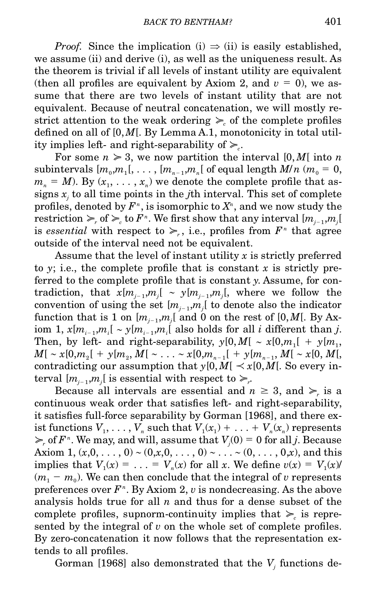*Proof.* Since the implication (i)  $\Rightarrow$  (ii) is easily established, we assume (ii) and derive (i), as well as the uniqueness result. As the theorem is trivial if all levels of instant utility are equivalent (then all profiles are equivalent by Axiom 2, and  $v = 0$ ), we assume that there are two levels of instant utility that are not equivalent. Because of neutral concatenation, we will mostly restrict attention to the weak ordering  $\geq$  of the complete profiles defined on all of  $[0, M]$ . By Lemma A.1, monotonicity in total utility implies left- and right-separability of  $\geq$ .

For some  $n \geq 3$ , we now partition the interval [0, *M*] into *n*  $\text{subintervals } [m_0, m_1[, \ldots, [m_{n-1}, m_n[ \text{ of equal length } M/n \text{ } (m_0 = 0,$  $m_n = M$ ). By  $(x_1, \ldots, x_n)$  we denote the complete profile that assigns  $x_i$  to all time points in the *j*th interval. This set of complete profiles, denoted by  $F$ <sup>n</sup>, is isomorphic to  $X$ <sup>n</sup>, and we now study the  $\mathbf{r}_{\mathbf{c}}$  restriction  $\mathbf{r}_{\mathbf{c}}$  of  $\mathbf{r}_{\mathbf{c}}$  to  $F$ <sup>*n*</sup>. We first show that any interval  $[m_{j-1},m_j[$ is *essential* with respect to  $\geq_r$ , i.e., profiles from  $F^n$  that agree outside of the interval need not be equivalent.

Assume that the level of instant utility *x* is strictly preferred to *y*; i.e., the complete profile that is constant *x* is strictly preferred to the complete profile that is constant *y*. Assume, for contradiction, that  $x[m_{j-1},m_j] \sim y[m_{j-1},m_j]$ , where we follow the convention of using the set  $[m_{j-1}, m_j]$  to denote also the indicator function that is 1 on  $[m_{j-1}, m_j[$  and 0 on the rest of [0, *M*[. By Axiom 1,  $x[m_{i-1}, m_i] \sim y[m_{i-1}, m_i]$  also holds for all *i* different than *j*. Then, by left- and right-separability,  $y[0, M] \sim x[0, m_1] + y[m_1,$  $M[\sim x[0,m_2[ + y[m_2, M[\sim \dots \sim x[0,m_{n-1}[ + y[m_{n-1}, M[\sim x[0, M[\sim \dots \sim x[0, M[\sim \dots \sim x[0, M[\sim \dots \sim x[0, M[\sim \dots \sim x[0, M[\sim \dots \sim x[0, M[\sim \dots \sim x[0, M[\sim \dots \sim x[0, M[\sim \dots \sim x[0, M[\sim \dots \sim x[0, M[\sim \dots \sim x[0, M[\sim \dots \sim x[0, M[\sim \dots \sim x[0, M[\sim \dots \sim x[0, M[\sim \dots \sim x[0, M[\sim \dots \sim x[0, M[\sim \dots \sim x$ contradicting our assumption that  $y[0, M] \prec x[0, M]$ . So every interval  $[m_{j-1}, m_j]$  is essential with respect to  $\geq r$ .

Because all intervals are essential and  $n \geq 3$ , and  $\geq \infty$  is a continuous weak order that satisfies left- and right-separability, it satisfies full-force separability by Gorman [1968], and there exist functions  $V_1, \ldots, V_n$  such that  $V_1(x_1) + \ldots + V_n(x_n)$  represents  $\geqslant_r$  of  $F$   $\cdot$  . We may, and will, assume that  $V_j(0) = 0$  for all *j*. Because Axiom 1,  $(x,0,\ldots,0) \sim (0,x,0,\ldots,0) \sim \ldots \sim (0,\ldots,0,x)$ , and this implies that  $V_1(x) = \ldots = V_n(x)$  for all *x*. We define  $v(x) = V_1(x)$  $(m_1 - m_0)$ . We can then conclude that the integral of *v* represents preferences over  $F^n$ . By Axiom 2, *v* is nondecreasing. As the above analysis holds true for all *n* and thus for a dense subset of the complete profiles, supnorm-continuity implies that  $\geq$  is represented by the integral of  $v$  on the whole set of complete profiles. By zero-concatenation it now follows that the representation extends to all profiles.

Gorman [1968] also demonstrated that the *V<sup>j</sup>* functions de-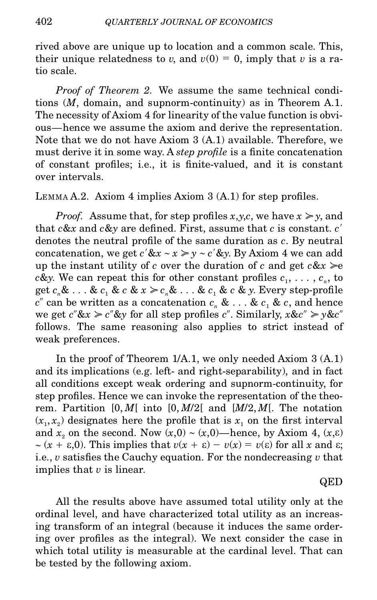rived above are unique up to location and a common scale. This, their unique relatedness to *v*, and  $v(0) = 0$ , imply that *v* is a ratio scale.

*Proof of Theorem 2.* We assume the same technical conditions (*M*, domain, and supnorm-continuity) as in Theorem A.1. The necessity of Axiom 4 for linearity of the value function is obvious—hence we assume the axiom and derive the representation. Note that we do not have Axiom 3 (A.1) available. Therefore, we must derive it in some way. A *step profile* is a finite concatenation of constant profiles; i.e., it is finite-valued, and it is constant over intervals.

LEMMA A.2. Axiom 4 implies Axiom  $3(A.1)$  for step profiles.

*Proof.* Assume that, for step profiles *x*, *y*,*c*, we have  $x \ge y$ , and that  $c$ &*x* and  $c$ &*y* are defined. First, assume that  $c$  is constant.  $c'$ denotes the neutral profile of the same duration as *c*. By neutral concatenation, we get  $c' \& x \geq y \sim c' \& y$ . By Axiom 4 we can add up the instant utility of *c* over the duration of *c* and get  $c \& x \geq e$  $c$ &*y*. We can repeat this for other constant profiles  $c_1, \ldots, c_n$ , to get  $c_n \& \ldots \& c_1 \& c \& x \geq c_n \& \ldots \& c_1 \& c \& y$ . Every step-profile  $c''$  can be written as a concatenation  $c_n \& \ldots \& c_1 \& c$ , and hence we get  $c''&x \geq c''&y$  for all step profiles *c*<sup>"</sup>. Similarly,  $x&c'' \geq y&c''$ follows. The same reasoning also applies to strict instead of weak preferences.

In the proof of Theorem 1/A.1, we only needed Axiom 3 (A.1) and its implications (e.g. left- and right-separability), and in fact all conditions except weak ordering and supnorm-continuity, for step profiles. Hence we can invoke the representation of the theorem. Partition  $[0, M]$  into  $[0, M/2]$  and  $[M/2, M]$ . The notation  $(x_1, x_2)$  designates here the profile that is  $x_1$  on the first interval and  $x_2$  on the second. Now  $(x,0) \sim (x,0)$ —hence, by Axiom 4,  $(x,\varepsilon)$  $\sim (x + \varepsilon, 0)$ . This implies that  $v(x + \varepsilon) - v(x) = v(\varepsilon)$  for all x and  $\varepsilon$ ; i.e.,  $v$  satisfies the Cauchy equation. For the nondecreasing  $v$  that implies that *v* is linear.

QED

All the results above have assumed total utility only at the ordinal level, and have characterized total utility as an increasing transform of an integral (because it induces the same ordering over profiles as the integral). We next consider the case in which total utility is measurable at the cardinal level. That can be tested by the following axiom.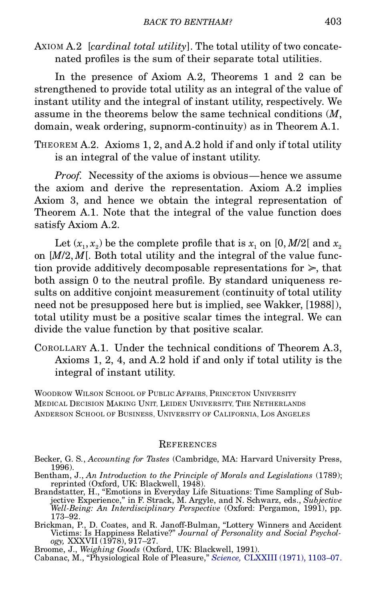AXIOM A.2 [*cardinal total utility*]. The total utility of two concatenated profiles is the sum of their separate total utilities.

In the presence of Axiom A.2, Theorems 1 and 2 can be strengthened to provide total utility as an integral of the value of instant utility and the integral of instant utility, respectively. We assume in the theorems below the same technical conditions (*M*, domain, weak ordering, supnorm-continuity) as in Theorem A.1.

THEOREM A.2. Axioms 1, 2, and A.2 hold if and only if total utility is an integral of the value of instant utility.

*Proof.* Necessity of the axioms is obvious—hence we assume the axiom and derive the representation. Axiom A.2 implies Axiom 3, and hence we obtain the integral representation of Theorem A.1. Note that the integral of the value function does satisfy Axiom A.2.

Let  $(x_1, x_2)$  be the complete profile that is  $x_1$  on [0, *M*/2[ and  $x_2$ on [*M*/2, *M*[. Both total utility and the integral of the value function provide additively decomposable representations for  $\geq$ , that both assign 0 to the neutral profile. By standard uniqueness results on additive conjoint measurement (continuity of total utility need not be presupposed here but is implied, see Wakker, [1988]), total utility must be a positive scalar times the integral. We can divide the value function by that positive scalar.

COROLLARY A.1. Under the technical conditions of Theorem A.3, Axioms 1, 2, 4, and A.2 hold if and only if total utility is the integral of instant utility.

WOODROW WILSON SCHOOL OF PUBLIC AFFAIRS, PRINCETON UNIVERSITY MEDICAL DECISION MAKING UNIT, LEIDEN UNIVERSITY, THE NETHERLANDS ANDERSON SCHOOL OF BUSINESS, UNIVERSITY OF CALIFORNIA, LOS ANGELES

#### **REFERENCES**

- Becker, G. S., *Accounting for Tastes* (Cambridge, MA: Harvard University Press, 1996).
- Bentham, J., *An Introduction to the Principle of Morals and Legislations* (1789); reprinted (Oxford, UK: Blackwell, 1948).
- Brandstatter, H., "Emotions in Everyday Life Situations: Time Sampling of Sub-jective Experience," in F.Strack, M. Argyle, and N. Schwarz, eds., *Subjective Well-Being: An Interdisciplinary Perspective* (Oxford: Pergamon, 1991), pp. 173–92.
- Brickman, P., D. Coates, and R. Janoff-Bulman, "Lottery Winners and Accident Victims: Is Happiness Relative?" *Journal of Personality and Social Psychol-ogy,* XXXVII (1978), 917–27.
- Broome, J., *Weighing Goods* (Oxford, UK: Blackwell, 1991).
- Cabanac, M., "Physiological Role of Pleasure," *Science,* CLXXIII (1971), [1103–07.](http://angelina.catchword.com/nw=1/rpsv/0036-8075^281971^29173L.1103[aid=848199,nlm=5098954])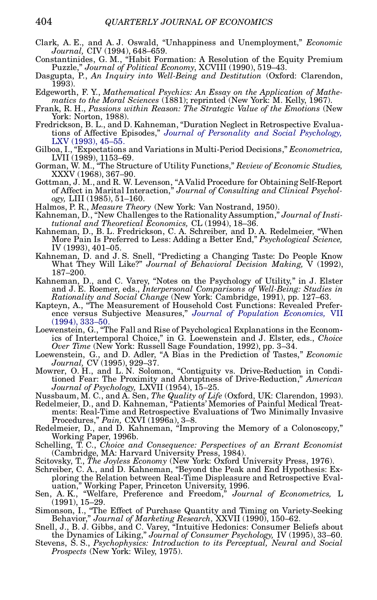- Clark, A. E., and A. J. Oswald, "Unhappiness and Unemployment," *Economic Journal,* CIV (1994), 648–659.
- Constantinides, G. M., "Habit Formation: A Resolution of the Equity Premium Puzzle," *Journal of Political Economy*, XCVIII (1990), 519–43.
- Dasgupta, P., *An Inquiry into Well-Being and Destitution* (Oxford: Clarendon, 1993).
- Edgeworth, F. Y., *Mathematical Psychics: An Essay on the Application of Mathematics to the Moral Sciences* (1881); reprinted (New York: M. Kelly, 1967).
- Frank, R. H., *Passions within Reason: The Strategic Value of the Emotions* (New York: Norton, 1988).
- Fredrickson, B. L., and D. Kahneman, "Duration Neglect in Retrospective Evaluations of Affective Episodes," *Journal of Personality and Social [Psychology,](http://angelina.catchword.com/nw=1/rpsv/0022-3514^281993^2965L.45[aid=848201,csa=0022-3514^26vol=65^26iss=1^26firstpage=45,nlm=8355141])* LXV [\(1993\),](http://angelina.catchword.com/nw=1/rpsv/0022-3514^281993^2965L.45[aid=848201,csa=0022-3514^26vol=65^26iss=1^26firstpage=45,nlm=8355141]) 45–55.
- Gilboa, I., "Expectations and Variations in Multi-Period Decisions," *Econometrica,* LVII (1989), 1153–69.
- Gorman, W. M., "The Structure of Utility Functions," *Review of Economic Studies,* XXXV (1968), 367–90.
- Gottman, J. M., and R. W. Levenson, "A Valid Procedure for Obtaining Self-Report of Affect in Marital Interaction," *Journal of Consulting and Clinical Psychology,* LIII (1985), 51–160.
- Halmos, P. R., *Measure Theory* (New York: Van Nostrand, 1950).
- Kahneman, D., "New Challenges to the Rationality Assumption," *Journal of Insti-*
- *tutional and Theoretical Economics*, CL (1994), 18–36.<br>Kahneman, D., B. L. Fredrickson, C. A. Schreiber, and D. A. Redelmeier, "When<br>More Pain Is Preferred to Less: Adding a Better End," *Psychological Science,* IV (1993), 401–05.
- Kahneman, D. and J. S. Snell, "Predicting a Changing Taste: Do People Know What They Will Like?" *Journal of Behavioral Decision Making,* V (1992), 187–200.
- Kahneman, D., and C. Varey, "Notes on the Psychology of Utility," in J. Elster and J. E. Roemer, eds., *Interpersonal Comparisons of Well-Being: Studies in Rationality and Social Change* (New York: Cambridge, 1991), pp. 127–63.
- Kapteyn, A., "The Measurement of Household Cost Functions: Revealed Prefer- ence versus Subjective Measures," *Journal of Population [Economics,](http://angelina.catchword.com/nw=1/rpsv/0933-1433^281994^297L.333[aid=226056])* VII (1994), [333–50.](http://angelina.catchword.com/nw=1/rpsv/0933-1433^281994^297L.333[aid=226056])
- Loewenstein, G., "The Fall and Rise of Psychological Explanations in the Economics of Intertemporal Choice," in G. Loewenstein and J. Elster, eds., *Choice*<br>*Over Time* (New York: Russell Sage Foundation, 1992), pp. 3–34.<br>Loewenstein, G., and D. Adler, "A Bias in the Prediction of Tastes," *Economic*
- *Journal,* CV (1995), 929–37.
- Mowrer, O. H., and L. N. Solomon, "Contiguity vs. Drive-Reduction in Condi-tioned Fear: The Proximity and Abruptness of Drive-Reduction," *American Journal of Psychology,* LXVII (1954), 15–25.
- Nussbaum, M. C., and A. Sen, *The Quality of Life* (Oxford, UK: Clarendon, 1993). Redelmeier, D., and D. Kahneman, "Patients' Memories of Painful Medical Treat-
- ments: Real-Time and Retrospective Evaluations of Two Minimally Invasive Procedures," *Pain,* CXVI (1996a), 3–8.
- Redelmeier, D., and D. Kahneman, "Improving the Memory of a Colonoscopy," Working Paper, 1996b. Schelling, T. C., *Choice and Consequence: Perspectives of an Errant Economist*
- (Cambridge, MA: Harvard University Press, 1984).
- Scitovsky, T., *The Joyless Economy* (New York: Oxford University Press, 1976).
- Schreiber, C. A., and D. Kahneman, "Beyond the Peak and End Hypothesis: Exploring the Relation between Real-Time Displeasure and Retrospective Evaluation," Working Paper, Princeton University, 1996. Sen, A. K., "Welfare, Preference and Freedom," *Journal of Econometrics,* L
- (1991), 15–29.
- Simonson, I., "The Effect of Purchase Quantity and Timing on Variety-Seeking Behavior," *Journal of Marketing Research,* XXVII (1990), 150–62.
- Snell, J., B. J. Gibbs, and C. Varey, "Intuitive Hedonics: Consumer Beliefs about the Dynamics of Liking," *Journal of Consumer Psychology,* IV (1995), 33–60.
- Stevens, S. S., *Psychophysics: Introduction to its Perceptual, Neural and Social Prospects* (New York: Wiley, 1975).